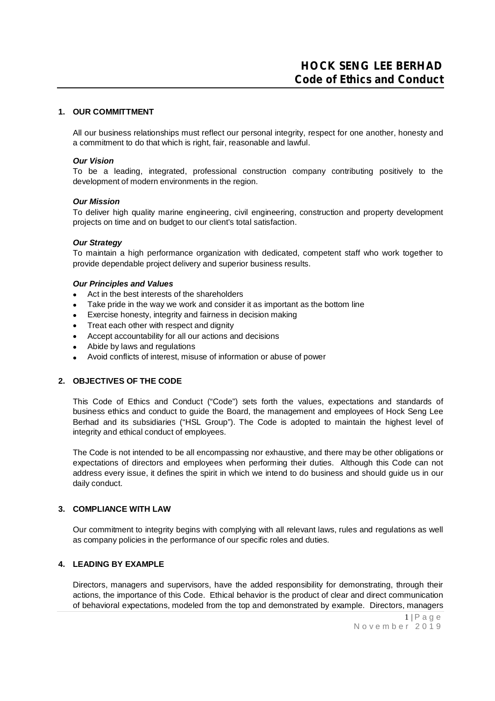# **1. OUR COMMITTMENT**

All our business relationships must reflect our personal integrity, respect for one another, honesty and a commitment to do that which is right, fair, reasonable and lawful.

#### *Our Vision*

To be a leading, integrated, professional construction company contributing positively to the development of modern environments in the region.

#### *Our Mission*

To deliver high quality marine engineering, civil engineering, construction and property development projects on time and on budget to our client's total satisfaction.

### *Our Strategy*

To maintain a high performance organization with dedicated, competent staff who work together to provide dependable project delivery and superior business results.

#### *Our Principles and Values*

- Act in the best interests of the shareholders
- Take pride in the way we work and consider it as important as the bottom line
- Exercise honesty, integrity and fairness in decision making
- Treat each other with respect and dignity
- Accept accountability for all our actions and decisions
- Abide by laws and regulations
- Avoid conflicts of interest, misuse of information or abuse of power

#### **2. OBJECTIVES OF THE CODE**

This Code of Ethics and Conduct ("Code") sets forth the values, expectations and standards of business ethics and conduct to guide the Board, the management and employees of Hock Seng Lee Berhad and its subsidiaries ("HSL Group"). The Code is adopted to maintain the highest level of integrity and ethical conduct of employees.

The Code is not intended to be all encompassing nor exhaustive, and there may be other obligations or expectations of directors and employees when performing their duties. Although this Code can not address every issue, it defines the spirit in which we intend to do business and should guide us in our daily conduct.

#### **3. COMPLIANCE WITH LAW**

Our commitment to integrity begins with complying with all relevant laws, rules and regulations as well as company policies in the performance of our specific roles and duties.

# **4. LEADING BY EXAMPLE**

Directors, managers and supervisors, have the added responsibility for demonstrating, through their actions, the importance of this Code. Ethical behavior is the product of clear and direct communication of behavioral expectations, modeled from the top and demonstrated by example. Directors, managers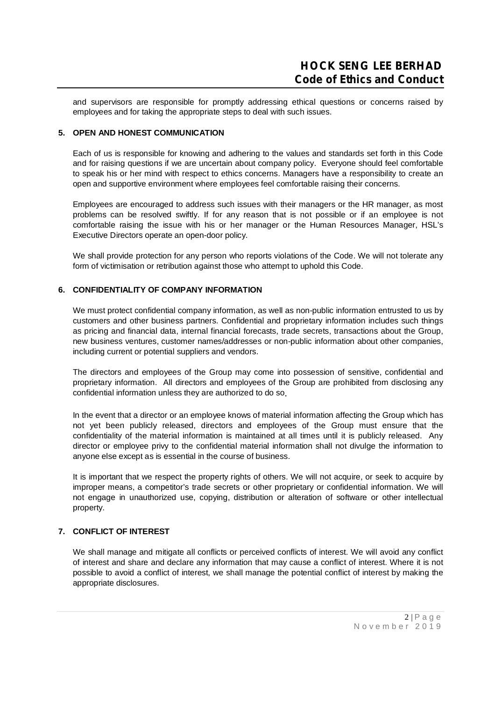and supervisors are responsible for promptly addressing ethical questions or concerns raised by employees and for taking the appropriate steps to deal with such issues.

# **5. OPEN AND HONEST COMMUNICATION**

Each of us is responsible for knowing and adhering to the values and standards set forth in this Code and for raising questions if we are uncertain about company policy. Everyone should feel comfortable to speak his or her mind with respect to ethics concerns. Managers have a responsibility to create an open and supportive environment where employees feel comfortable raising their concerns.

Employees are encouraged to address such issues with their managers or the HR manager, as most problems can be resolved swiftly. If for any reason that is not possible or if an employee is not comfortable raising the issue with his or her manager or the Human Resources Manager, HSL's Executive Directors operate an open-door policy.

We shall provide protection for any person who reports violations of the Code. We will not tolerate any form of victimisation or retribution against those who attempt to uphold this Code.

# **6. CONFIDENTIALITY OF COMPANY INFORMATION**

We must protect confidential company information, as well as non-public information entrusted to us by customers and other business partners. Confidential and proprietary information includes such things as pricing and financial data, internal financial forecasts, trade secrets, transactions about the Group, new business ventures, customer names/addresses or non-public information about other companies, including current or potential suppliers and vendors.

The directors and employees of the Group may come into possession of sensitive, confidential and proprietary information. All directors and employees of the Group are prohibited from disclosing any confidential information unless they are authorized to do so.

In the event that a director or an employee knows of material information affecting the Group which has not yet been publicly released, directors and employees of the Group must ensure that the confidentiality of the material information is maintained at all times until it is publicly released. Any director or employee privy to the confidential material information shall not divulge the information to anyone else except as is essential in the course of business.

It is important that we respect the property rights of others. We will not acquire, or seek to acquire by improper means, a competitor's trade secrets or other proprietary or confidential information. We will not engage in unauthorized use, copying, distribution or alteration of software or other intellectual property.

# **7. CONFLICT OF INTEREST**

We shall manage and mitigate all conflicts or perceived conflicts of interest. We will avoid any conflict of interest and share and declare any information that may cause a conflict of interest. Where it is not possible to avoid a conflict of interest, we shall manage the potential conflict of interest by making the appropriate disclosures.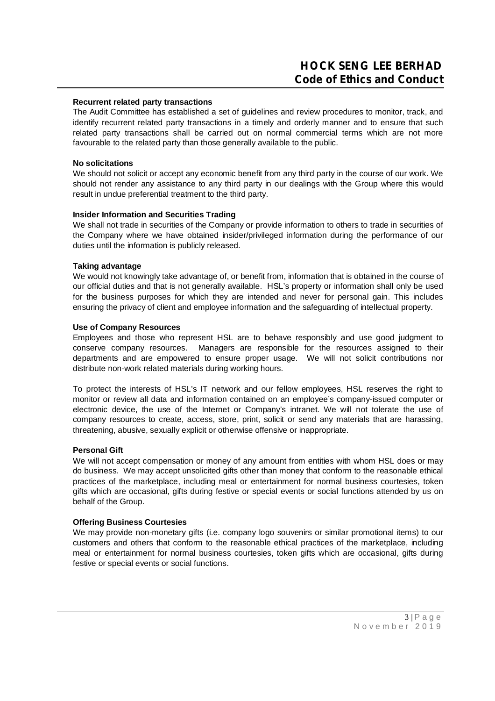### **Recurrent related party transactions**

The Audit Committee has established a set of guidelines and review procedures to monitor, track, and identify recurrent related party transactions in a timely and orderly manner and to ensure that such related party transactions shall be carried out on normal commercial terms which are not more favourable to the related party than those generally available to the public.

## **No solicitations**

We should not solicit or accept any economic benefit from any third party in the course of our work. We should not render any assistance to any third party in our dealings with the Group where this would result in undue preferential treatment to the third party.

# **Insider Information and Securities Trading**

We shall not trade in securities of the Company or provide information to others to trade in securities of the Company where we have obtained insider/privileged information during the performance of our duties until the information is publicly released.

### **Taking advantage**

We would not knowingly take advantage of, or benefit from, information that is obtained in the course of our official duties and that is not generally available. HSL's property or information shall only be used for the business purposes for which they are intended and never for personal gain. This includes ensuring the privacy of client and employee information and the safeguarding of intellectual property.

# **Use of Company Resources**

Employees and those who represent HSL are to behave responsibly and use good judgment to conserve company resources. Managers are responsible for the resources assigned to their departments and are empowered to ensure proper usage. We will not solicit contributions nor distribute non-work related materials during working hours.

To protect the interests of HSL's IT network and our fellow employees, HSL reserves the right to monitor or review all data and information contained on an employee's company-issued computer or electronic device, the use of the Internet or Company's intranet. We will not tolerate the use of company resources to create, access, store, print, solicit or send any materials that are harassing, threatening, abusive, sexually explicit or otherwise offensive or inappropriate.

### **Personal Gift**

We will not accept compensation or money of any amount from entities with whom HSL does or may do business. We may accept unsolicited gifts other than money that conform to the reasonable ethical practices of the marketplace, including meal or entertainment for normal business courtesies, token gifts which are occasional, gifts during festive or special events or social functions attended by us on behalf of the Group.

### **Offering Business Courtesies**

We may provide non-monetary gifts (i.e. company logo souvenirs or similar promotional items) to our customers and others that conform to the reasonable ethical practices of the marketplace, including meal or entertainment for normal business courtesies, token gifts which are occasional, gifts during festive or special events or social functions.